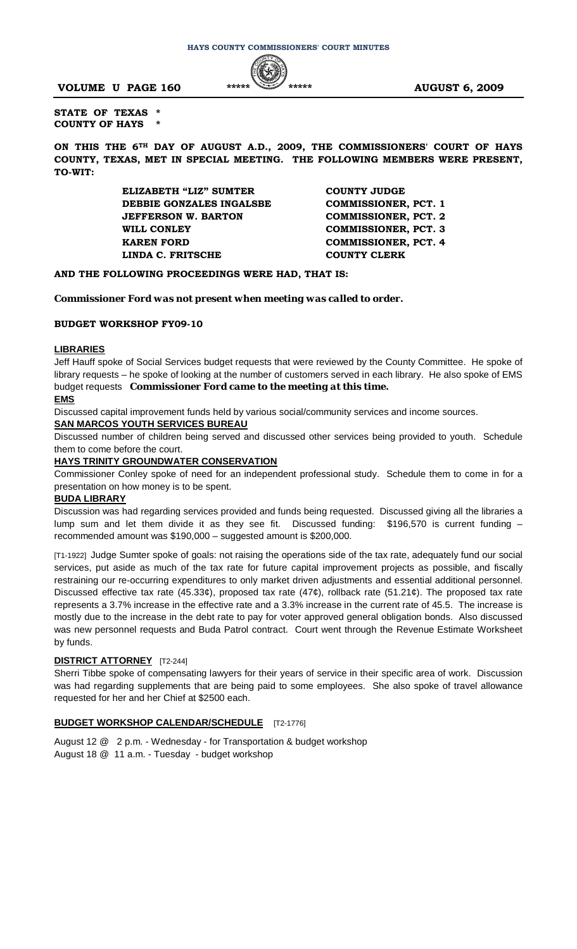**VOLUME U PAGE 160 \*\*\*\*\* \*\*\*\*\* AUGUST 6, 2009** 



**STATE OF TEXAS \* COUNTY OF HAYS \***

**ON THIS THE 6TH DAY OF AUGUST A.D., 2009, THE COMMISSIONERS' COURT OF HAYS COUNTY, TEXAS, MET IN SPECIAL MEETING. THE FOLLOWING MEMBERS WERE PRESENT, TO-WIT:**

> **ELIZABETH "LIZ" SUMTER COUNTY JUDGE DEBBIE GONZALES INGALSBE COMMISSIONER, PCT. 1 JEFFERSON W. BARTON COMMISSIONER, PCT. 2 WILL CONLEY COMMISSIONER, PCT. 3 KAREN FORD COMMISSIONER, PCT. 4 LINDA C. FRITSCHE COUNTY CLERK**

# **AND THE FOLLOWING PROCEEDINGS WERE HAD, THAT IS:**

# *Commissioner Ford was not present when meeting was called to order.*

#### **BUDGET WORKSHOP FY09-10**

# **LIBRARIES**

Jeff Hauff spoke of Social Services budget requests that were reviewed by the County Committee. He spoke of library requests – he spoke of looking at the number of customers served in each library. He also spoke of EMS budget requests *Commissioner Ford came to the meeting at this time.*

#### **EMS**

Discussed capital improvement funds held by various social/community services and income sources.

#### **SAN MARCOS YOUTH SERVICES BUREAU**

Discussed number of children being served and discussed other services being provided to youth. Schedule them to come before the court.

# **HAYS TRINITY GROUNDWATER CONSERVATION**

Commissioner Conley spoke of need for an independent professional study. Schedule them to come in for a presentation on how money is to be spent.

# **BUDA LIBRARY**

Discussion was had regarding services provided and funds being requested. Discussed giving all the libraries a lump sum and let them divide it as they see fit. Discussed funding: \$196,570 is current funding – recommended amount was \$190,000 – suggested amount is \$200,000.

[T1-1922] Judge Sumter spoke of goals: not raising the operations side of the tax rate, adequately fund our social services, put aside as much of the tax rate for future capital improvement projects as possible, and fiscally restraining our re-occurring expenditures to only market driven adjustments and essential additional personnel. Discussed effective tax rate (45.33¢), proposed tax rate (47¢), rollback rate (51.21¢). The proposed tax rate represents a 3.7% increase in the effective rate and a 3.3% increase in the current rate of 45.5. The increase is mostly due to the increase in the debt rate to pay for voter approved general obligation bonds. Also discussed was new personnel requests and Buda Patrol contract. Court went through the Revenue Estimate Worksheet by funds.

# **DISTRICT ATTORNEY** [T2-244]

Sherri Tibbe spoke of compensating lawyers for their years of service in their specific area of work. Discussion was had regarding supplements that are being paid to some employees. She also spoke of travel allowance requested for her and her Chief at \$2500 each.

# **BUDGET WORKSHOP CALENDAR/SCHEDULE** [T2-1776]

August 12 @ 2 p.m. - Wednesday - for Transportation & budget workshop August 18 @ 11 a.m. - Tuesday - budget workshop